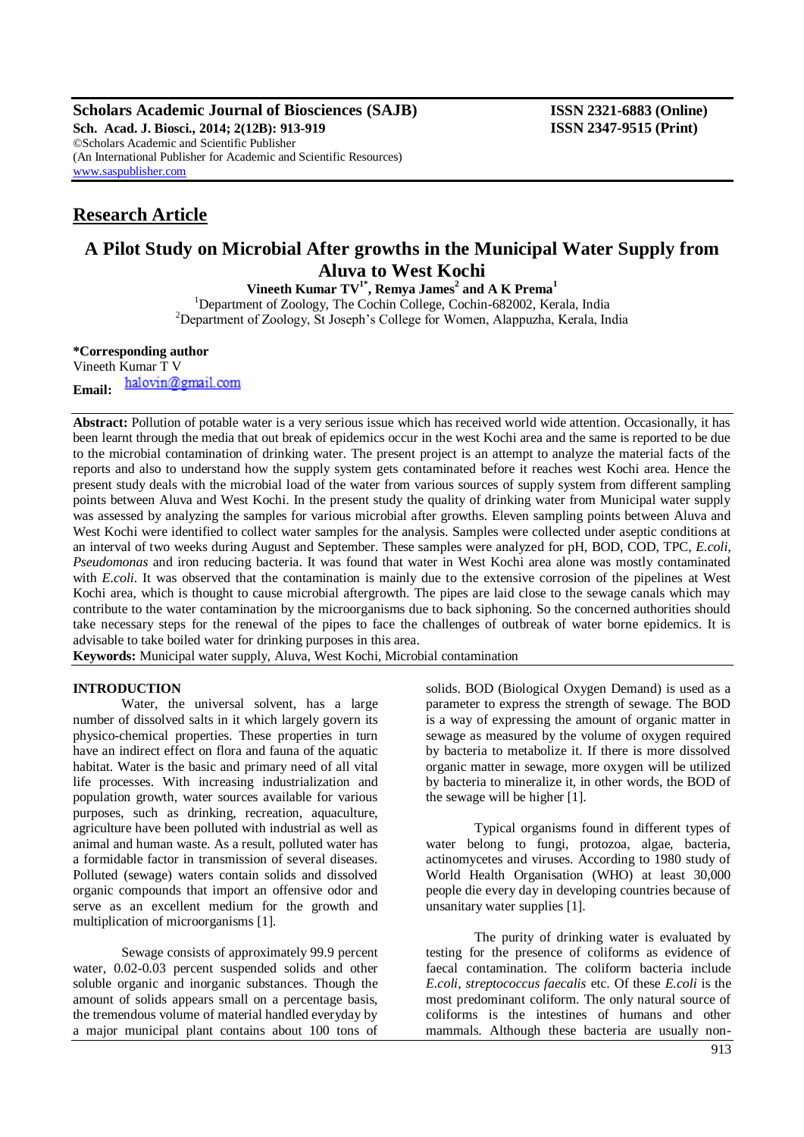**Scholars Academic Journal of Biosciences (SAJB) ISSN 2321-6883 (Online) Sch. Acad. J. Biosci., 2014; 2(12B): 913-919 ISSN 2347-9515 (Print)** ©Scholars Academic and Scientific Publisher (An International Publisher for Academic and Scientific Resources) [www.saspublisher.com](http://www.saspublisher.com/)

# **Research Article**

# **A Pilot Study on Microbial After growths in the Municipal Water Supply from Aluva to West Kochi**

**Vineeth Kumar TV 1\*, Remya James<sup>2</sup> and A K Prema<sup>1</sup>**

<sup>1</sup>Department of Zoology, The Cochin College, Cochin-682002, Kerala, India <sup>2</sup>Department of Zoology, St Joseph's College for Women, Alappuzha, Kerala, India

## **\*Corresponding author**

Vineeth Kumar T V halovin@gmail.com **Email:**

**Abstract:** Pollution of potable water is a very serious issue which has received world wide attention. Occasionally, it has been learnt through the media that out break of epidemics occur in the west Kochi area and the same is reported to be due to the microbial contamination of drinking water. The present project is an attempt to analyze the material facts of the reports and also to understand how the supply system gets contaminated before it reaches west Kochi area. Hence the present study deals with the microbial load of the water from various sources of supply system from different sampling points between Aluva and West Kochi. In the present study the quality of drinking water from Municipal water supply was assessed by analyzing the samples for various microbial after growths. Eleven sampling points between Aluva and West Kochi were identified to collect water samples for the analysis. Samples were collected under aseptic conditions at an interval of two weeks during August and September. These samples were analyzed for pH, BOD, COD, TPC, *E.coli*, *Pseudomonas* and iron reducing bacteria. It was found that water in West Kochi area alone was mostly contaminated with *E.coli*. It was observed that the contamination is mainly due to the extensive corrosion of the pipelines at West Kochi area, which is thought to cause microbial aftergrowth. The pipes are laid close to the sewage canals which may contribute to the water contamination by the microorganisms due to back siphoning. So the concerned authorities should take necessary steps for the renewal of the pipes to face the challenges of outbreak of water borne epidemics. It is advisable to take boiled water for drinking purposes in this area.

**Keywords:** Municipal water supply, Aluva, West Kochi, Microbial contamination

#### **INTRODUCTION**

Water, the universal solvent, has a large number of dissolved salts in it which largely govern its physico-chemical properties. These properties in turn have an indirect effect on flora and fauna of the aquatic habitat. Water is the basic and primary need of all vital life processes. With increasing industrialization and population growth, water sources available for various purposes, such as drinking, recreation, aquaculture, agriculture have been polluted with industrial as well as animal and human waste. As a result, polluted water has a formidable factor in transmission of several diseases. Polluted (sewage) waters contain solids and dissolved organic compounds that import an offensive odor and serve as an excellent medium for the growth and multiplication of microorganisms [1].

Sewage consists of approximately 99.9 percent water, 0.02-0.03 percent suspended solids and other soluble organic and inorganic substances. Though the amount of solids appears small on a percentage basis, the tremendous volume of material handled everyday by a major municipal plant contains about 100 tons of

solids. BOD (Biological Oxygen Demand) is used as a parameter to express the strength of sewage. The BOD is a way of expressing the amount of organic matter in sewage as measured by the volume of oxygen required by bacteria to metabolize it. If there is more dissolved organic matter in sewage, more oxygen will be utilized by bacteria to mineralize it, in other words, the BOD of the sewage will be higher [1].

Typical organisms found in different types of water belong to fungi, protozoa, algae, bacteria, actinomycetes and viruses. According to 1980 study of World Health Organisation (WHO) at least 30,000 people die every day in developing countries because of unsanitary water supplies [1].

The purity of drinking water is evaluated by testing for the presence of coliforms as evidence of faecal contamination. The coliform bacteria include *E.coli, streptococcus faecalis* etc. Of these *E.coli* is the most predominant coliform. The only natural source of coliforms is the intestines of humans and other mammals. Although these bacteria are usually non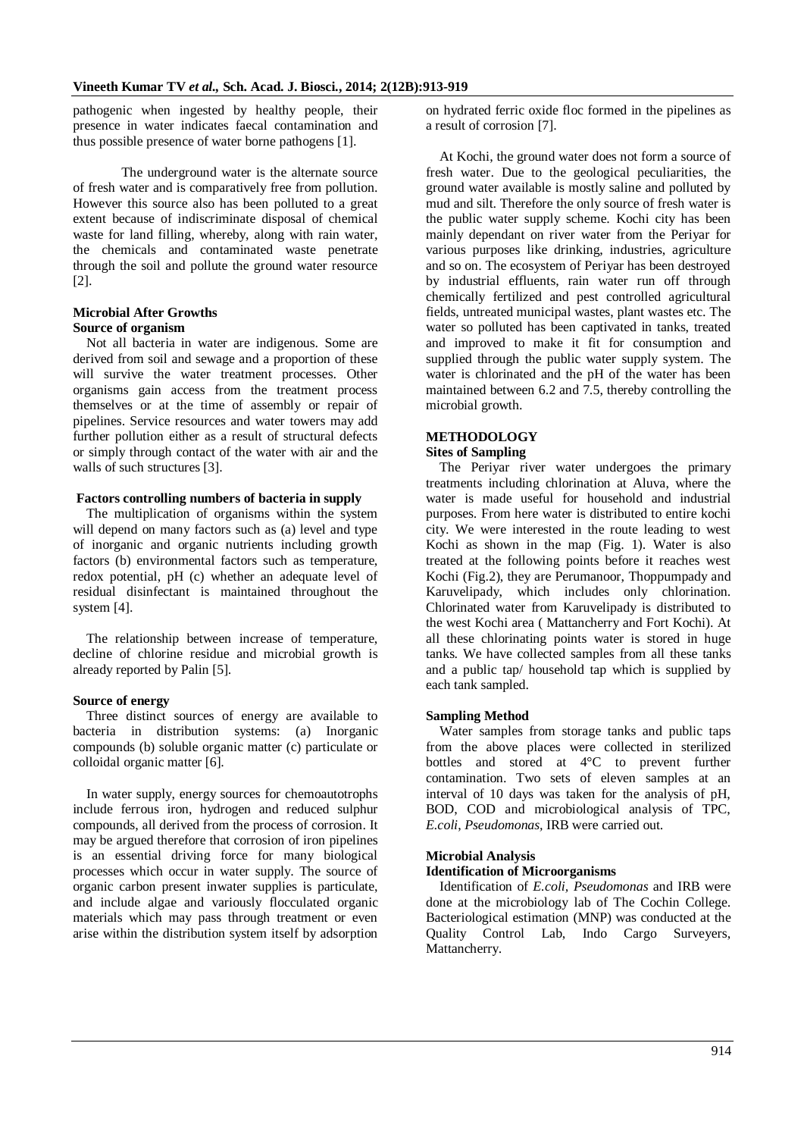pathogenic when ingested by healthy people, their presence in water indicates faecal contamination and thus possible presence of water borne pathogens [1].

The underground water is the alternate source of fresh water and is comparatively free from pollution. However this source also has been polluted to a great extent because of indiscriminate disposal of chemical waste for land filling, whereby, along with rain water, the chemicals and contaminated waste penetrate through the soil and pollute the ground water resource [2].

## **Microbial After Growths**

# **Source of organism**

Not all bacteria in water are indigenous. Some are derived from soil and sewage and a proportion of these will survive the water treatment processes. Other organisms gain access from the treatment process themselves or at the time of assembly or repair of pipelines. Service resources and water towers may add further pollution either as a result of structural defects or simply through contact of the water with air and the walls of such structures [3].

## **Factors controlling numbers of bacteria in supply**

The multiplication of organisms within the system will depend on many factors such as (a) level and type of inorganic and organic nutrients including growth factors (b) environmental factors such as temperature, redox potential, pH (c) whether an adequate level of residual disinfectant is maintained throughout the system [4].

The relationship between increase of temperature, decline of chlorine residue and microbial growth is already reported by Palin [5].

## **Source of energy**

Three distinct sources of energy are available to bacteria in distribution systems: (a) Inorganic compounds (b) soluble organic matter (c) particulate or colloidal organic matter [6].

In water supply, energy sources for chemoautotrophs include ferrous iron, hydrogen and reduced sulphur compounds, all derived from the process of corrosion. It may be argued therefore that corrosion of iron pipelines is an essential driving force for many biological processes which occur in water supply. The source of organic carbon present inwater supplies is particulate, and include algae and variously flocculated organic materials which may pass through treatment or even arise within the distribution system itself by adsorption

on hydrated ferric oxide floc formed in the pipelines as a result of corrosion [7].

At Kochi, the ground water does not form a source of fresh water. Due to the geological peculiarities, the ground water available is mostly saline and polluted by mud and silt. Therefore the only source of fresh water is the public water supply scheme. Kochi city has been mainly dependant on river water from the Periyar for various purposes like drinking, industries, agriculture and so on. The ecosystem of Periyar has been destroyed by industrial effluents, rain water run off through chemically fertilized and pest controlled agricultural fields, untreated municipal wastes, plant wastes etc. The water so polluted has been captivated in tanks, treated and improved to make it fit for consumption and supplied through the public water supply system. The water is chlorinated and the pH of the water has been maintained between 6.2 and 7.5, thereby controlling the microbial growth.

# **METHODOLOGY**

## **Sites of Sampling**

The Periyar river water undergoes the primary treatments including chlorination at Aluva, where the water is made useful for household and industrial purposes. From here water is distributed to entire kochi city. We were interested in the route leading to west Kochi as shown in the map (Fig. 1). Water is also treated at the following points before it reaches west Kochi (Fig.2), they are Perumanoor, Thoppumpady and Karuvelipady, which includes only chlorination. Chlorinated water from Karuvelipady is distributed to the west Kochi area ( Mattancherry and Fort Kochi). At all these chlorinating points water is stored in huge tanks. We have collected samples from all these tanks and a public tap/ household tap which is supplied by each tank sampled.

## **Sampling Method**

Water samples from storage tanks and public taps from the above places were collected in sterilized bottles and stored at 4°C to prevent further contamination. Two sets of eleven samples at an interval of 10 days was taken for the analysis of pH, BOD, COD and microbiological analysis of TPC, *E.coli*, *Pseudomonas,* IRB were carried out.

## **Microbial Analysis**

## **Identification of Microorganisms**

Identification of *E.coli, Pseudomonas* and IRB were done at the microbiology lab of The Cochin College. Bacteriological estimation (MNP) was conducted at the Quality Control Lab, Indo Cargo Surveyers, Mattancherry.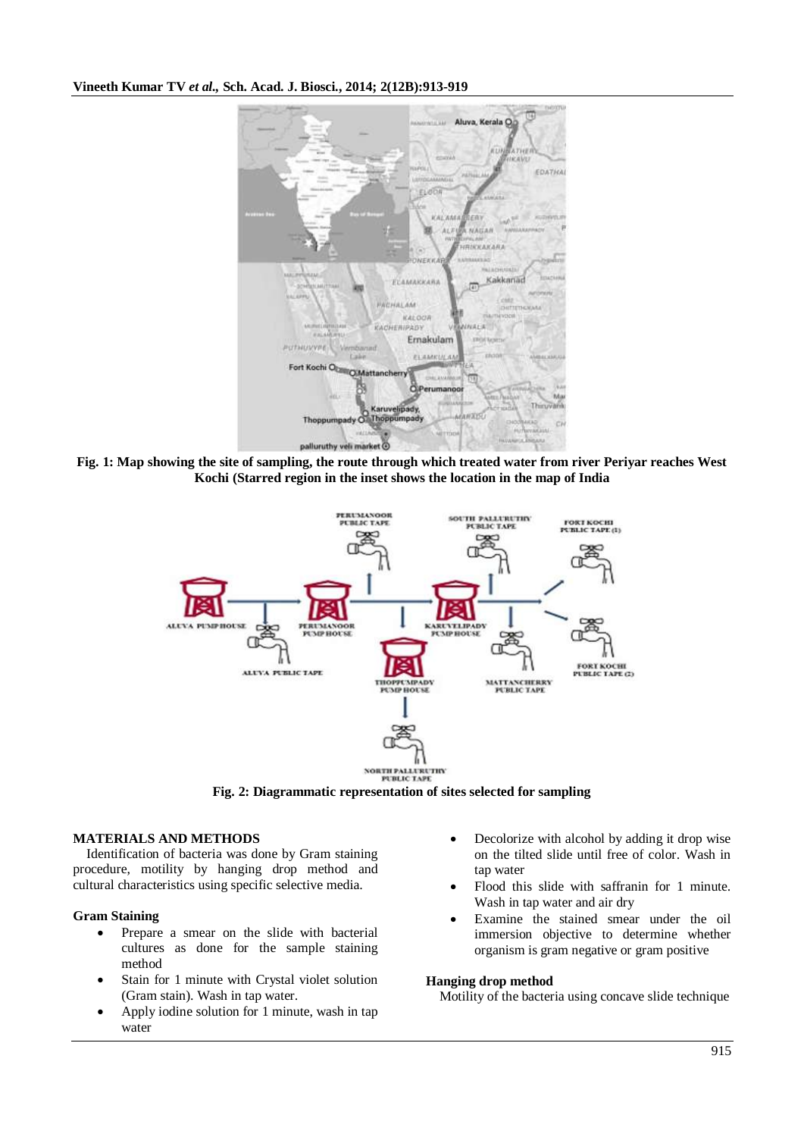

**Fig. 1: Map showing the site of sampling, the route through which treated water from river Periyar reaches West Kochi (Starred region in the inset shows the location in the map of India**



**Fig. 2: Diagrammatic representation of sites selected for sampling**

## **MATERIALS AND METHODS**

Identification of bacteria was done by Gram staining procedure, motility by hanging drop method and cultural characteristics using specific selective media.

## **Gram Staining**

- Prepare a smear on the slide with bacterial cultures as done for the sample staining method
- Stain for 1 minute with Crystal violet solution (Gram stain). Wash in tap water.
- Apply iodine solution for 1 minute, wash in tap water
- Decolorize with alcohol by adding it drop wise on the tilted slide until free of color. Wash in tap water
- Flood this slide with saffranin for 1 minute. Wash in tap water and air dry
- Examine the stained smear under the oil immersion objective to determine whether organism is gram negative or gram positive

## **Hanging drop method**

Motility of the bacteria using concave slide technique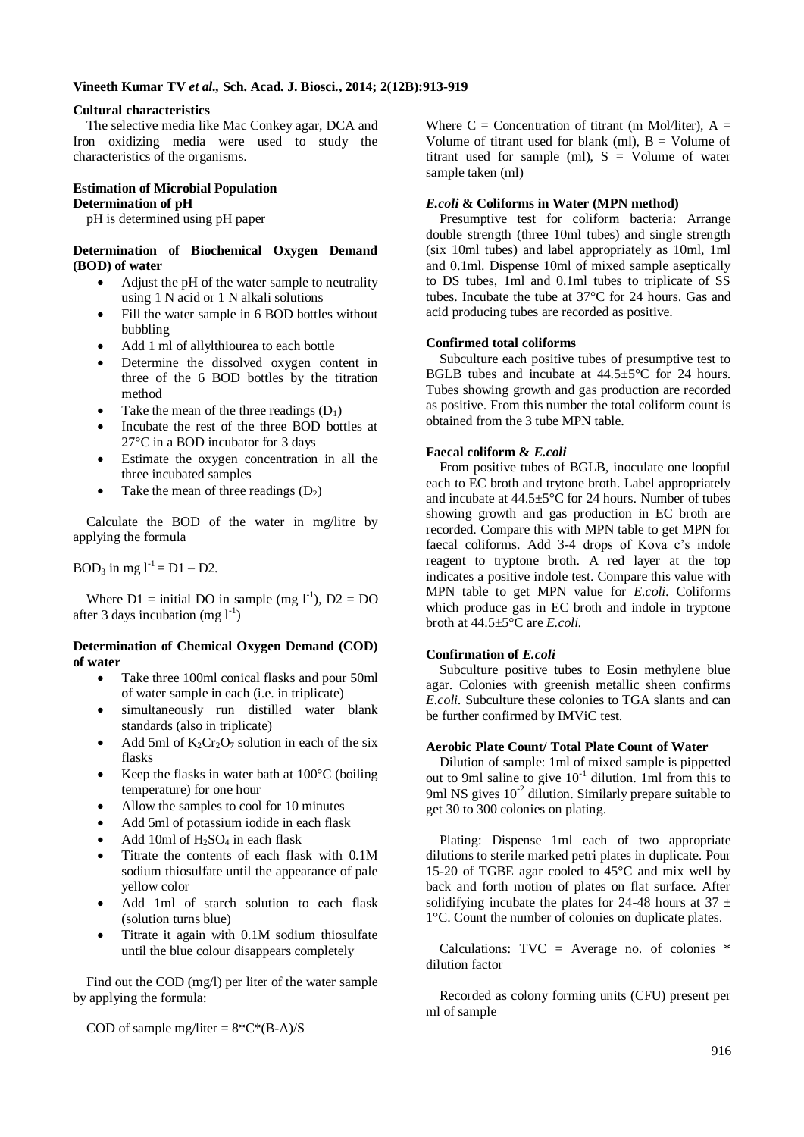### **Cultural characteristics**

The selective media like Mac Conkey agar, DCA and Iron oxidizing media were used to study the characteristics of the organisms.

#### **Estimation of Microbial Population Determination of pH**

pH is determined using pH paper

### **Determination of Biochemical Oxygen Demand (BOD) of water**

- Adjust the pH of the water sample to neutrality using 1 N acid or 1 N alkali solutions
- Fill the water sample in 6 BOD bottles without bubbling
- Add 1 ml of allylthiourea to each bottle
- Determine the dissolved oxygen content in three of the 6 BOD bottles by the titration method
- Take the mean of the three readings  $(D_1)$
- Incubate the rest of the three BOD bottles at 27°C in a BOD incubator for 3 days
- Estimate the oxygen concentration in all the three incubated samples
- Take the mean of three readings  $(D_2)$

Calculate the BOD of the water in mg/litre by applying the formula

BOD<sub>3</sub> in mg  $l^{-1} = D1 - D2$ .

Where  $D1 =$  initial DO in sample (mg  $1^{-1}$ ),  $D2 = DO$ after 3 days incubation (mg  $l^{-1}$ )

### **Determination of Chemical Oxygen Demand (COD) of water**

- Take three 100ml conical flasks and pour 50ml of water sample in each (i.e. in triplicate)
- simultaneously run distilled water blank standards (also in triplicate)
- Add 5ml of  $K_2Cr_2O_7$  solution in each of the six flasks
- Keep the flasks in water bath at 100°C (boiling temperature) for one hour
- Allow the samples to cool for 10 minutes
- Add 5ml of potassium iodide in each flask
- Add 10ml of  $H_2SO_4$  in each flask
- Titrate the contents of each flask with 0.1M sodium thiosulfate until the appearance of pale yellow color
- Add 1ml of starch solution to each flask (solution turns blue)
- Titrate it again with 0.1M sodium thiosulfate until the blue colour disappears completely

Find out the COD (mg/l) per liter of the water sample by applying the formula:

COD of sample mg/liter =  $8*C*(B-A)/S$ 

Where  $C =$  Concentration of titrant (m Mol/liter),  $A =$ Volume of titrant used for blank (ml),  $B =$  Volume of titrant used for sample (ml),  $S =$  Volume of water sample taken (ml)

## *E.coli* **& Coliforms in Water (MPN method)**

Presumptive test for coliform bacteria: Arrange double strength (three 10ml tubes) and single strength (six 10ml tubes) and label appropriately as 10ml, 1ml and 0.1ml. Dispense 10ml of mixed sample aseptically to DS tubes, 1ml and 0.1ml tubes to triplicate of SS tubes. Incubate the tube at 37°C for 24 hours. Gas and acid producing tubes are recorded as positive.

### **Confirmed total coliforms**

Subculture each positive tubes of presumptive test to BGLB tubes and incubate at 44.5±5°C for 24 hours. Tubes showing growth and gas production are recorded as positive. From this number the total coliform count is obtained from the 3 tube MPN table.

## **Faecal coliform &** *E.coli*

From positive tubes of BGLB, inoculate one loopful each to EC broth and trytone broth. Label appropriately and incubate at  $44.5 \pm 5^{\circ}$ C for 24 hours. Number of tubes showing growth and gas production in EC broth are recorded. Compare this with MPN table to get MPN for faecal coliforms. Add 3-4 drops of Kova c's indole reagent to tryptone broth. A red layer at the top indicates a positive indole test. Compare this value with MPN table to get MPN value for *E.coli.* Coliforms which produce gas in EC broth and indole in tryptone broth at 44.5±5°C are *E.coli.*

## **Confirmation of** *E.coli*

Subculture positive tubes to Eosin methylene blue agar. Colonies with greenish metallic sheen confirms *E.coli.* Subculture these colonies to TGA slants and can be further confirmed by IMViC test.

### **Aerobic Plate Count/ Total Plate Count of Water**

Dilution of sample: 1ml of mixed sample is pippetted out to 9ml saline to give  $10^{-1}$  dilution. 1ml from this to 9ml NS gives  $10^{-2}$  dilution. Similarly prepare suitable to get 30 to 300 colonies on plating.

Plating: Dispense 1ml each of two appropriate dilutions to sterile marked petri plates in duplicate. Pour 15-20 of TGBE agar cooled to 45°C and mix well by back and forth motion of plates on flat surface. After solidifying incubate the plates for 24-48 hours at  $37 \pm$ 1°C. Count the number of colonies on duplicate plates.

Calculations:  $TVC = Average no$ . of colonies  $*$ dilution factor

Recorded as colony forming units (CFU) present per ml of sample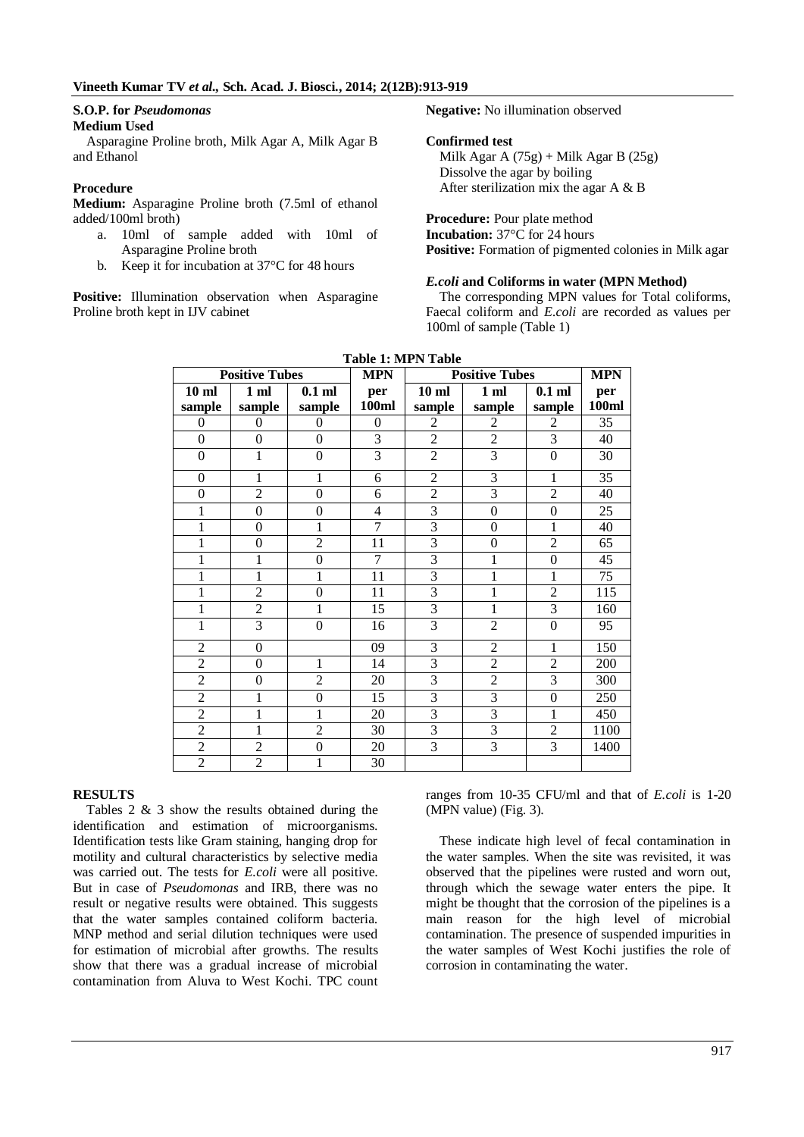#### **S.O.P. for** *Pseudomonas* **Medium Used**

Asparagine Proline broth, Milk Agar A, Milk Agar B and Ethanol

## **Procedure**

**Medium:** Asparagine Proline broth (7.5ml of ethanol added/100ml broth)

- a. 10ml of sample added with 10ml of Asparagine Proline broth
- b. Keep it for incubation at 37°C for 48 hours

**Positive:** Illumination observation when Asparagine Proline broth kept in IJV cabinet

**Negative:** No illumination observed

## **Confirmed test**

Milk Agar A  $(75g)$  + Milk Agar B  $(25g)$ Dissolve the agar by boiling After sterilization mix the agar A & B

## **Procedure:** Pour plate method

**Incubation:** 37°C for 24 hours **Positive:** Formation of pigmented colonies in Milk agar

## *E.coli* **and Coliforms in water (MPN Method)**

The corresponding MPN values for Total coliforms, Faecal coliform and *E.coli* are recorded as values per 100ml of sample (Table 1)

| Table 1: MPN Table    |                |                |                |                       |                  |                  |            |  |
|-----------------------|----------------|----------------|----------------|-----------------------|------------------|------------------|------------|--|
| <b>Positive Tubes</b> |                |                | <b>MPN</b>     | <b>Positive Tubes</b> |                  |                  | <b>MPN</b> |  |
| 10 <sub>ml</sub>      | 1 <sub>m</sub> | $0.1$ ml       | per            | $10$ ml               | 1 <sub>m</sub>   | $0.1$ ml         | per        |  |
| sample                | sample         | sample         | 100ml          | sample                | sample           | sample           | 100ml      |  |
| $\mathbf{0}$          | $\overline{0}$ | $\theta$       | $\mathbf{0}$   | $\overline{c}$        | $\overline{2}$   | $\overline{2}$   | 35         |  |
| $\boldsymbol{0}$      | $\overline{0}$ | $\mathbf{0}$   | $\overline{3}$ | $\overline{2}$        | $\overline{2}$   | $\overline{3}$   | 40         |  |
| $\mathbf{0}$          | $\mathbf{1}$   | $\mathbf{0}$   | $\overline{3}$ | $\overline{2}$        | $\overline{3}$   | $\boldsymbol{0}$ | 30         |  |
| $\boldsymbol{0}$      | 1              | 1              | 6              | $\overline{2}$        | $\overline{3}$   | 1                | 35         |  |
| $\mathbf{0}$          | $\overline{2}$ | $\mathbf{0}$   | 6              | $\overline{2}$        | 3                | $\overline{2}$   | 40         |  |
| 1                     | $\overline{0}$ | $\mathbf{0}$   | $\overline{4}$ | $\overline{3}$        | $\boldsymbol{0}$ | $\mathbf{0}$     | 25         |  |
| 1                     | $\overline{0}$ | 1              | $\overline{7}$ | $\overline{3}$        | $\boldsymbol{0}$ | $\mathbf{1}$     | 40         |  |
| $\mathbf{1}$          | $\overline{0}$ | $\overline{2}$ | 11             | $\overline{3}$        | $\mathbf{0}$     | $\overline{2}$   | 65         |  |
| $\mathbf{1}$          | 1              | $\mathbf{0}$   | 7              | $\overline{3}$        | $\mathbf{1}$     | $\boldsymbol{0}$ | 45         |  |
| $\mathbf{1}$          | $\mathbf 1$    | $\mathbf{1}$   | 11             | $\overline{3}$        | $\mathbf{1}$     | $\mathbf{1}$     | 75         |  |
| 1                     | $\overline{c}$ | $\mathbf{0}$   | 11             | $\overline{3}$        | $\mathbf{1}$     | $\overline{2}$   | 115        |  |
| $\mathbf{1}$          | $\overline{2}$ | $\mathbf{1}$   | 15             | $\overline{3}$        | $\mathbf{1}$     | 3                | 160        |  |
| 1                     | 3              | $\theta$       | 16             | $\overline{3}$        | $\overline{2}$   | $\theta$         | 95         |  |
| $\overline{2}$        | $\mathbf{0}$   |                | 09             | 3                     | $\overline{2}$   | 1                | 150        |  |
| $\overline{c}$        | $\mathbf{0}$   | 1              | 14             | 3                     | $\overline{c}$   | $\overline{2}$   | 200        |  |
| $\overline{2}$        | $\mathbf{0}$   | $\overline{2}$ | 20             | $\overline{3}$        | $\overline{2}$   | 3                | 300        |  |
| $\overline{2}$        | 1              | $\mathbf{0}$   | 15             | 3                     | 3                | $\boldsymbol{0}$ | 250        |  |
| $\overline{2}$        | 1              | 1              | 20             | 3                     | 3                | 1                | 450        |  |
| $\overline{c}$        | 1              | $\overline{c}$ | 30             | 3                     | 3                | $\overline{2}$   | 1100       |  |
| $\overline{2}$        | $\overline{2}$ | $\overline{0}$ | 20             | $\overline{3}$        | $\overline{3}$   | $\overline{3}$   | 1400       |  |
| $\overline{2}$        | $\overline{2}$ | 1              | 30             |                       |                  |                  |            |  |

## **Table 1: MPN Table**

#### **RESULTS**

Tables 2 & 3 show the results obtained during the identification and estimation of microorganisms. Identification tests like Gram staining, hanging drop for motility and cultural characteristics by selective media was carried out. The tests for *E.coli* were all positive. But in case of *Pseudomonas* and IRB, there was no result or negative results were obtained. This suggests that the water samples contained coliform bacteria. MNP method and serial dilution techniques were used for estimation of microbial after growths. The results show that there was a gradual increase of microbial contamination from Aluva to West Kochi. TPC count

ranges from 10-35 CFU/ml and that of *E.coli* is 1-20 (MPN value) (Fig. 3).

These indicate high level of fecal contamination in the water samples. When the site was revisited, it was observed that the pipelines were rusted and worn out, through which the sewage water enters the pipe. It might be thought that the corrosion of the pipelines is a main reason for the high level of microbial contamination. The presence of suspended impurities in the water samples of West Kochi justifies the role of corrosion in contaminating the water.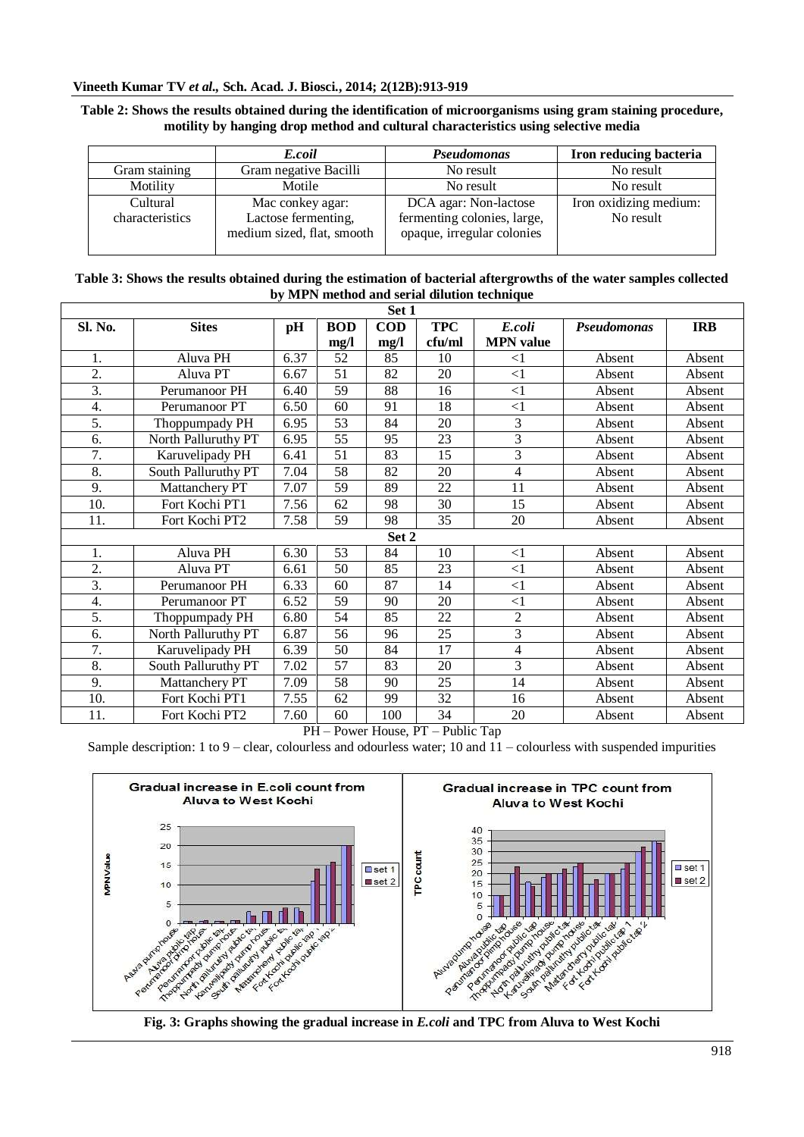## **Vineeth Kumar TV** *et al.,* **Sch. Acad. J. Biosci., 2014; 2(12B):913-919**

## **Table 2: Shows the results obtained during the identification of microorganisms using gram staining procedure, motility by hanging drop method and cultural characteristics using selective media**

|                             | E.coil                                                                | Pseudomonas                                                                        | Iron reducing bacteria              |
|-----------------------------|-----------------------------------------------------------------------|------------------------------------------------------------------------------------|-------------------------------------|
| Gram staining               | Gram negative Bacilli                                                 | No result                                                                          | No result                           |
| Motility                    | Motile                                                                | No result                                                                          | No result                           |
| Cultural<br>characteristics | Mac conkey agar:<br>Lactose fermenting,<br>medium sized, flat, smooth | DCA agar: Non-lactose<br>fermenting colonies, large,<br>opaque, irregular colonies | Iron oxidizing medium:<br>No result |

## **Table 3: Shows the results obtained during the estimation of bacterial aftergrowths of the water samples collected by MPN method and serial dilution technique**

| Set 1            |                     |      |            |            |                 |                  |                    |            |  |
|------------------|---------------------|------|------------|------------|-----------------|------------------|--------------------|------------|--|
| Sl. No.          | <b>Sites</b>        | pH   | <b>BOD</b> | <b>COD</b> | <b>TPC</b>      | E.coli           | <b>Pseudomonas</b> | <b>IRB</b> |  |
|                  |                     |      | mg/l       | mg/l       | cfu/ml          | <b>MPN</b> value |                    |            |  |
| 1.               | Aluva PH            | 6.37 | 52         | 85         | 10              | $<$ 1            | Absent             | Absent     |  |
| $\overline{2}$ . | Aluva PT            | 6.67 | 51         | 82         | 20              | $\leq$ 1         | Absent             | Absent     |  |
| 3.               | Perumanoor PH       | 6.40 | 59         | 88         | 16              | $\leq$ 1         | Absent             | Absent     |  |
| 4.               | Perumanoor PT       | 6.50 | 60         | 91         | 18              | $\leq$ 1         | Absent             | Absent     |  |
| 5.               | Thoppumpady PH      | 6.95 | 53         | 84         | 20              | 3                | Absent             | Absent     |  |
| 6.               | North Palluruthy PT | 6.95 | 55         | 95         | 23              | $\overline{3}$   | Absent             | Absent     |  |
| 7.               | Karuvelipady PH     | 6.41 | 51         | 83         | 15              | 3                | Absent             | Absent     |  |
| 8.               | South Palluruthy PT | 7.04 | 58         | 82         | 20              | $\overline{4}$   | Absent             | Absent     |  |
| 9.               | Mattanchery PT      | 7.07 | 59         | 89         | 22              | 11               | Absent             | Absent     |  |
| 10.              | Fort Kochi PT1      | 7.56 | 62         | 98         | 30              | 15               | Absent             | Absent     |  |
| 11.              | Fort Kochi PT2      | 7.58 | 59         | 98         | 35              | 20               | Absent             | Absent     |  |
| Set 2            |                     |      |            |            |                 |                  |                    |            |  |
| 1.               | Aluva PH            | 6.30 | 53         | 84         | 10              | <1               | Absent             | Absent     |  |
| 2.               | Aluva PT            | 6.61 | 50         | 85         | 23              | $\leq$ 1         | Absent             | Absent     |  |
| $\overline{3}$ . | Perumanoor PH       | 6.33 | 60         | 87         | 14              | $\leq$ 1         | Absent             | Absent     |  |
| $\overline{4}$ . | Perumanoor PT       | 6.52 | 59         | 90         | 20              | $\leq$ 1         | Absent             | Absent     |  |
| $\overline{5}$ . | Thoppumpady PH      | 6.80 | 54         | 85         | $\overline{22}$ | $\overline{c}$   | Absent             | Absent     |  |
| 6.               | North Palluruthy PT | 6.87 | 56         | 96         | 25              | 3                | Absent             | Absent     |  |
| 7.               | Karuvelipady PH     | 6.39 | 50         | 84         | 17              | $\overline{4}$   | Absent             | Absent     |  |
| 8.               | South Palluruthy PT | 7.02 | 57         | 83         | 20              | $\overline{3}$   | Absent             | Absent     |  |
| 9.               | Mattanchery PT      | 7.09 | 58         | 90         | 25              | 14               | Absent             | Absent     |  |
| 10.              | Fort Kochi PT1      | 7.55 | 62         | 99         | 32              | 16               | Absent             | Absent     |  |
| 11.              | Fort Kochi PT2      | 7.60 | 60         | 100        | 34              | 20               | Absent             | Absent     |  |

PH – Power House, PT – Public Tap

Sample description: 1 to 9 – clear, colourless and odourless water; 10 and 11 – colourless with suspended impurities



**Fig. 3: Graphs showing the gradual increase in** *E.coli* **and TPC from Aluva to West Kochi**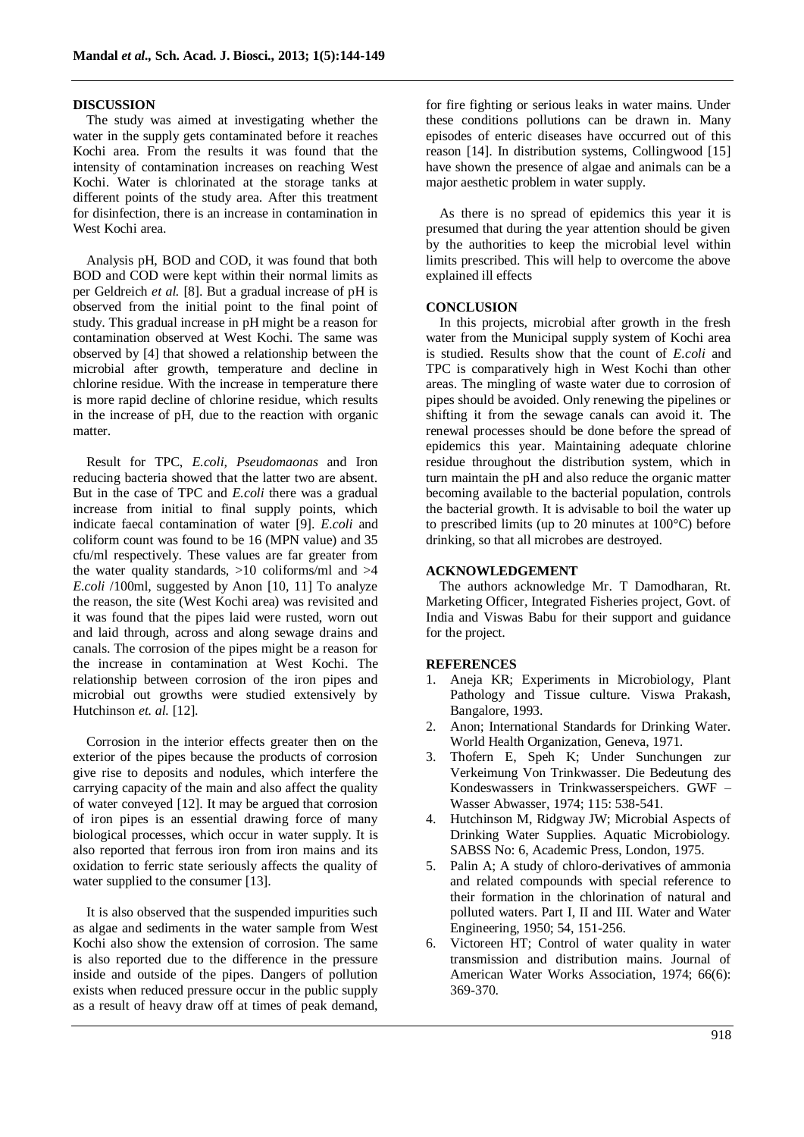#### **DISCUSSION**

The study was aimed at investigating whether the water in the supply gets contaminated before it reaches Kochi area. From the results it was found that the intensity of contamination increases on reaching West Kochi. Water is chlorinated at the storage tanks at different points of the study area. After this treatment for disinfection, there is an increase in contamination in West Kochi area.

Analysis pH, BOD and COD, it was found that both BOD and COD were kept within their normal limits as per Geldreich *et al.* [8]. But a gradual increase of pH is observed from the initial point to the final point of study. This gradual increase in pH might be a reason for contamination observed at West Kochi. The same was observed by [4] that showed a relationship between the microbial after growth, temperature and decline in chlorine residue. With the increase in temperature there is more rapid decline of chlorine residue, which results in the increase of pH, due to the reaction with organic matter.

Result for TPC, *E.coli, Pseudomaonas* and Iron reducing bacteria showed that the latter two are absent. But in the case of TPC and *E.coli* there was a gradual increase from initial to final supply points, which indicate faecal contamination of water [9]. *E.coli* and coliform count was found to be 16 (MPN value) and 35 cfu/ml respectively. These values are far greater from the water quality standards,  $>10$  coliforms/ml and  $>4$ *E.coli* /100ml, suggested by Anon [10, 11] To analyze the reason, the site (West Kochi area) was revisited and it was found that the pipes laid were rusted, worn out and laid through, across and along sewage drains and canals. The corrosion of the pipes might be a reason for the increase in contamination at West Kochi. The relationship between corrosion of the iron pipes and microbial out growths were studied extensively by Hutchinson *et. al.* [12].

Corrosion in the interior effects greater then on the exterior of the pipes because the products of corrosion give rise to deposits and nodules, which interfere the carrying capacity of the main and also affect the quality of water conveyed [12]. It may be argued that corrosion of iron pipes is an essential drawing force of many biological processes, which occur in water supply. It is also reported that ferrous iron from iron mains and its oxidation to ferric state seriously affects the quality of water supplied to the consumer [13].

It is also observed that the suspended impurities such as algae and sediments in the water sample from West Kochi also show the extension of corrosion. The same is also reported due to the difference in the pressure inside and outside of the pipes. Dangers of pollution exists when reduced pressure occur in the public supply as a result of heavy draw off at times of peak demand,

for fire fighting or serious leaks in water mains. Under these conditions pollutions can be drawn in. Many episodes of enteric diseases have occurred out of this reason [14]. In distribution systems, Collingwood [15] have shown the presence of algae and animals can be a major aesthetic problem in water supply.

As there is no spread of epidemics this year it is presumed that during the year attention should be given by the authorities to keep the microbial level within limits prescribed. This will help to overcome the above explained ill effects

#### **CONCLUSION**

In this projects, microbial after growth in the fresh water from the Municipal supply system of Kochi area is studied. Results show that the count of *E.coli* and TPC is comparatively high in West Kochi than other areas. The mingling of waste water due to corrosion of pipes should be avoided. Only renewing the pipelines or shifting it from the sewage canals can avoid it. The renewal processes should be done before the spread of epidemics this year. Maintaining adequate chlorine residue throughout the distribution system, which in turn maintain the pH and also reduce the organic matter becoming available to the bacterial population, controls the bacterial growth. It is advisable to boil the water up to prescribed limits (up to 20 minutes at 100°C) before drinking, so that all microbes are destroyed.

### **ACKNOWLEDGEMENT**

The authors acknowledge Mr. T Damodharan, Rt. Marketing Officer, Integrated Fisheries project, Govt. of India and Viswas Babu for their support and guidance for the project.

#### **REFERENCES**

- 1. Aneja KR; Experiments in Microbiology, Plant Pathology and Tissue culture. Viswa Prakash, Bangalore, 1993.
- 2. Anon; International Standards for Drinking Water. World Health Organization, Geneva, 1971.
- 3. Thofern E, Speh K; Under Sunchungen zur Verkeimung Von Trinkwasser. Die Bedeutung des Kondeswassers in Trinkwasserspeichers. GWF – Wasser Abwasser, 1974; 115: 538-541.
- 4. Hutchinson M, Ridgway JW; Microbial Aspects of Drinking Water Supplies. Aquatic Microbiology. SABSS No: 6, Academic Press, London, 1975.
- 5. Palin A; A study of chloro-derivatives of ammonia and related compounds with special reference to their formation in the chlorination of natural and polluted waters. Part I, II and III. Water and Water Engineering, 1950; 54, 151-256.
- 6. Victoreen HT; Control of water quality in water transmission and distribution mains. Journal of American Water Works Association, 1974; 66(6): 369-370.